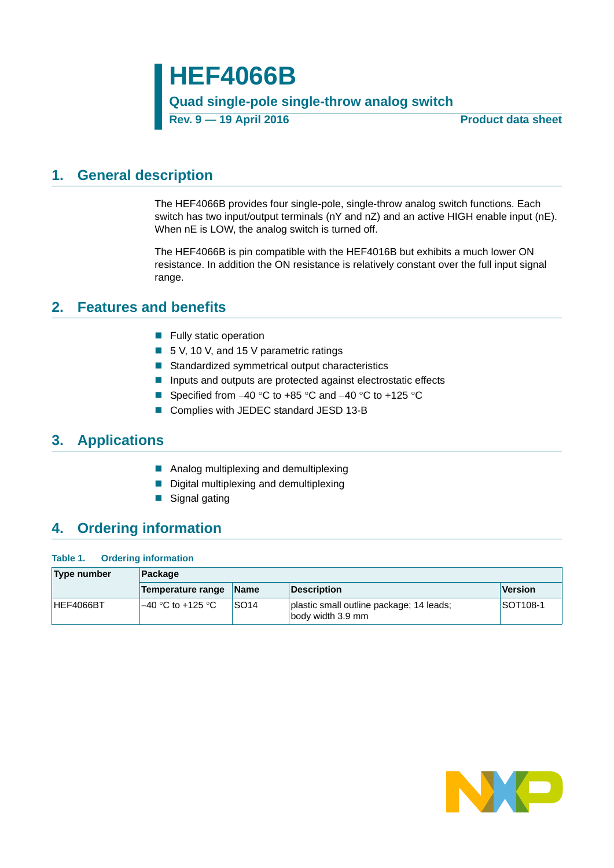# **HEF4066B**

### **Quad single-pole single-throw analog switch**

**Rev. 9 — 19 April 2016 Product data sheet**

# <span id="page-0-0"></span>**1. General description**

The HEF4066B provides four single-pole, single-throw analog switch functions. Each switch has two input/output terminals (nY and nZ) and an active HIGH enable input (nE). When nE is LOW, the analog switch is turned off.

The HEF4066B is pin compatible with the HEF4016B but exhibits a much lower ON resistance. In addition the ON resistance is relatively constant over the full input signal range.

## <span id="page-0-1"></span>**2. Features and benefits**

- $\blacksquare$  Fully static operation
- 5 V, 10 V, and 15 V parametric ratings
- Standardized symmetrical output characteristics
- **Inputs and outputs are protected against electrostatic effects**
- Specified from  $-40$  °C to  $+85$  °C and  $-40$  °C to  $+125$  °C
- Complies with JEDEC standard JESD 13-B

# <span id="page-0-2"></span>**3. Applications**

- **Analog multiplexing and demultiplexing**
- Digital multiplexing and demultiplexing
- Signal gating

# <span id="page-0-3"></span>**4. Ordering information**

#### **Table 1. Ordering information**

| Type number | Package            |                  |                                                               |                 |  |  |  |  |  |
|-------------|--------------------|------------------|---------------------------------------------------------------|-----------------|--|--|--|--|--|
|             | Temperature range  | <b>Name</b>      | Description                                                   | Version         |  |  |  |  |  |
| HEF4066BT   | '–40 °C to +125 °C | SO <sub>14</sub> | plastic small outline package; 14 leads;<br>body width 3.9 mm | <b>SOT108-1</b> |  |  |  |  |  |

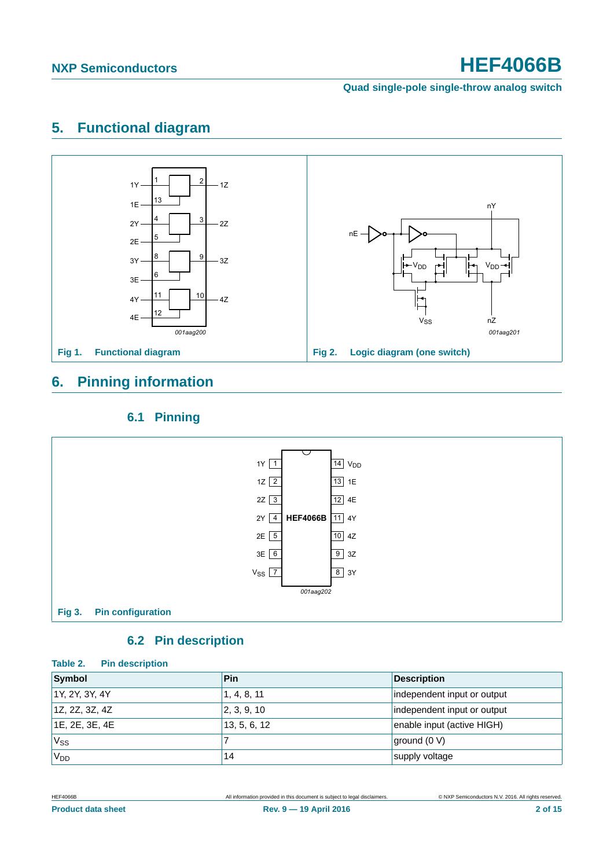**Quad single-pole single-throw analog switch**

# <span id="page-1-0"></span>**5. Functional diagram**



# <span id="page-1-1"></span>**6. Pinning information**

### **6.1 Pinning**

<span id="page-1-2"></span>

### **6.2 Pin description**

### <span id="page-1-3"></span>**Table 2. Pin description**

| Symbol           | Pin          | <b>Description</b>          |
|------------------|--------------|-----------------------------|
| 1Y, 2Y, 3Y, 4Y   | 1, 4, 8, 11  | independent input or output |
| 1Z, 2Z, 3Z, 4Z   | 2, 3, 9, 10  | independent input or output |
| 1E, 2E, 3E, 4E   | 13, 5, 6, 12 | enable input (active HIGH)  |
| 'Vss             |              | $\vert$ ground (0 V)        |
| 'V <sub>DD</sub> | 14           | supply voltage              |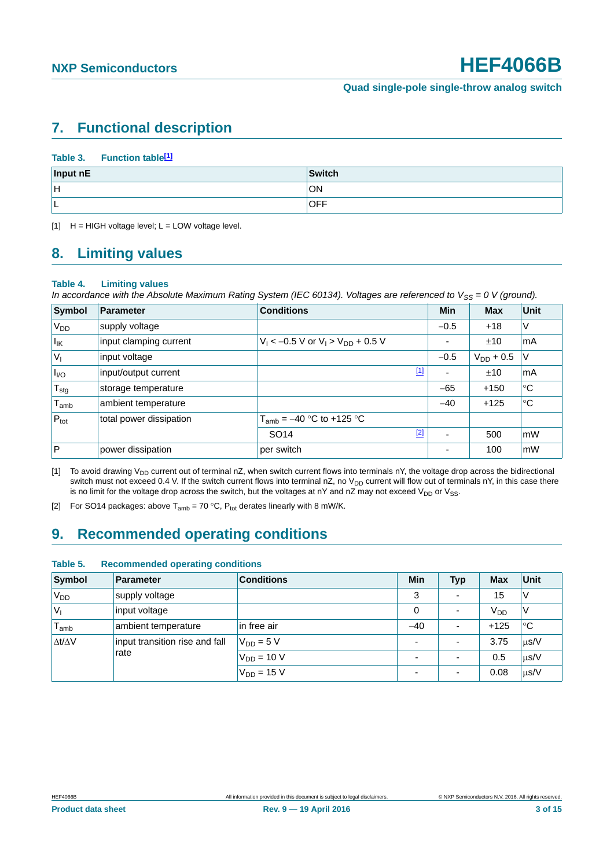# <span id="page-2-4"></span>**7. Functional description**

### Table 3. Function table<sup>[1]</sup>

| Input nE | Switch     |
|----------|------------|
| lн       | ON         |
| ⊢        | <b>OFF</b> |

<span id="page-2-0"></span> $H = HIGH$  voltage level;  $L = LOW$  voltage level.

### <span id="page-2-5"></span>**8. Limiting values**

#### <span id="page-2-3"></span>**Table 4. Limiting values**

*In accordance with the Absolute Maximum Rating System (IEC 60134). Voltages are referenced to V<sub>SS</sub> = 0 V (ground).* 

| Symbol                      | Parameter               | <b>Conditions</b>                          | Min    | <b>Max</b>     | Unit      |
|-----------------------------|-------------------------|--------------------------------------------|--------|----------------|-----------|
| V <sub>DD</sub>             | supply voltage          |                                            | $-0.5$ | $+18$          | V         |
| $I_{\mathsf{IK}}$           | input clamping current  | $V_1$ < -0.5 V or $V_1$ > $V_{DD}$ + 0.5 V | ٠      | ±10            | l mA      |
| $ V_1$                      | input voltage           |                                            | $-0.5$ | $V_{DD}$ + 0.5 | V         |
| $I_{VQ}$                    | input/output current    | $\boxed{1}$                                | ٠      | ±10            | l mA      |
| ${\sf T}_{\sf stg}$         | storage temperature     |                                            | $-65$  | $+150$         | ∣℃        |
| $\mathsf{T}_{\mathsf{amb}}$ | ambient temperature     |                                            | $-40$  | $+125$         | ∣℃        |
| $P_{\text{tot}}$            | total power dissipation | $T_{amb} = -40$ °C to +125 °C              |        |                |           |
|                             |                         | $[2]$<br>SO <sub>14</sub>                  | ٠      | 500            | mW        |
| $\overline{P}$              | power dissipation       | per switch                                 |        | 100            | <b>mW</b> |

<span id="page-2-1"></span>[1] To avoid drawing V<sub>DD</sub> current out of terminal nZ, when switch current flows into terminals nY, the voltage drop across the bidirectional switch must not exceed 0.4 V. If the switch current flows into terminal nZ, no  $V_{DD}$  current will flow out of terminals nY, in this case there is no limit for the voltage drop across the switch, but the voltages at nY and nZ may not exceed  $V_{DD}$  or  $V_{SS}$ .

<span id="page-2-2"></span>[2] For SO14 packages: above  $T_{amb} = 70$  °C,  $P_{tot}$  derates linearly with 8 mW/K.

# <span id="page-2-6"></span>**9. Recommended operating conditions**

#### **Table 5. Recommended operating conditions**

| <b>Symbol</b>       | <b>Parameter</b>               | <b>Conditions</b> | Min                      | <b>Typ</b>               | <b>Max</b>      | <b>Unit</b> |
|---------------------|--------------------------------|-------------------|--------------------------|--------------------------|-----------------|-------------|
| V <sub>DD</sub>     | supply voltage                 |                   | 3                        | $\overline{\phantom{a}}$ | 15              |             |
| $V_{I}$             | input voltage                  |                   | 0                        | $\overline{\phantom{a}}$ | V <sub>DD</sub> |             |
| l <sub>amb</sub>    | ambient temperature            | in free air       | $-40$                    | ۰                        | $+125$          | $^{\circ}C$ |
| $\Delta t/\Delta V$ | input transition rise and fall | $V_{DD} = 5 V$    | $\overline{a}$           | $\overline{\phantom{0}}$ | 3.75            | $\mu$ s/V   |
|                     | rate                           | $V_{DD}$ = 10 V   | $\overline{\phantom{a}}$ | ۰                        | 0.5             | $\mu$ s/V   |
|                     |                                | $V_{DD} = 15 V$   | $\blacksquare$           | $\overline{\phantom{a}}$ | 0.08            | $\mu$ s/V   |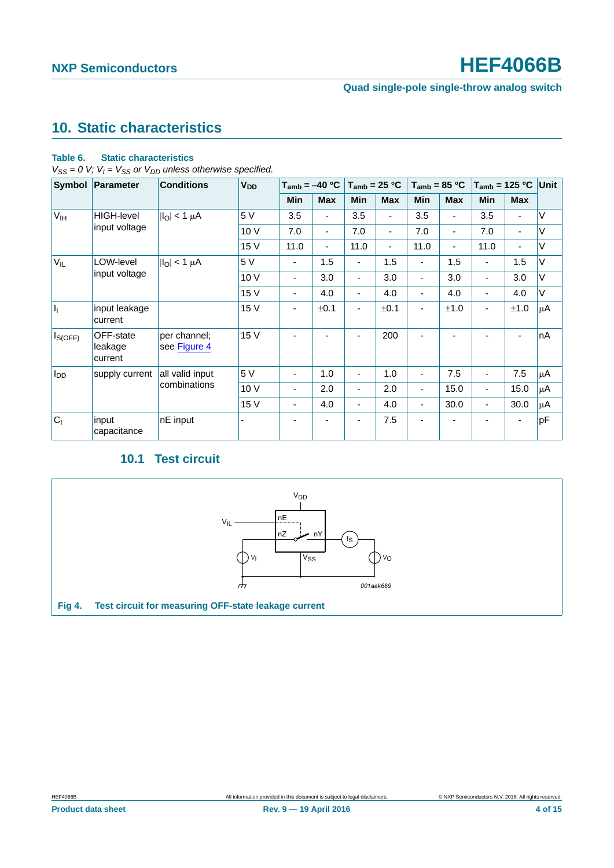### **Quad single-pole single-throw analog switch**

# <span id="page-3-1"></span>**10. Static characteristics**

### **Table 6. Static characteristics**

 $V_{SS} = 0$  V;  $V_I = V_{SS}$  or  $V_{DD}$  unless otherwise specified.

| Symbol          | <b>Parameter</b>                | <b>Conditions</b>            | <b>V<sub>DD</sub></b> | $T_{amb} = -40 °C$       |                          | $T_{amb}$ = 25 °C        |                          | $T_{amb}$ = 85 °C        |            | $T_{amb}$ = 125 °C Unit  |                          |        |
|-----------------|---------------------------------|------------------------------|-----------------------|--------------------------|--------------------------|--------------------------|--------------------------|--------------------------|------------|--------------------------|--------------------------|--------|
|                 |                                 |                              |                       | <b>Min</b>               | <b>Max</b>               | <b>Min</b>               | <b>Max</b>               | Min                      | <b>Max</b> | <b>Min</b>               | <b>Max</b>               |        |
| V <sub>IH</sub> | <b>HIGH-level</b>               | $ I_O $ < 1 $\mu$ A          | 5 V                   | 3.5                      |                          | 3.5                      | ٠                        | 3.5                      |            | 3.5                      | ٠                        | $\vee$ |
|                 | input voltage                   |                              | 10 V                  | 7.0                      | $\overline{\phantom{a}}$ | 7.0                      | ٠                        | 7.0                      | ٠          | 7.0                      | $\blacksquare$           | V      |
|                 |                                 |                              | 15 V                  | 11.0                     | ٠                        | 11.0                     | $\overline{\phantom{0}}$ | 11.0                     |            | 11.0                     | $\blacksquare$           | V      |
| $V_{IL}$        | LOW-level                       | $ I_{\text{O}} $ < 1 µA      | 5V                    | $\overline{\phantom{0}}$ | 1.5                      | ٠                        | 1.5                      | ۰                        | 1.5        | $\overline{\phantom{a}}$ | 1.5                      | V      |
|                 | input voltage                   |                              | 10V                   | $\overline{\phantom{0}}$ | 3.0                      | ٠                        | 3.0                      | -                        | 3.0        | ٠                        | 3.0                      | V      |
|                 |                                 |                              | 15 V                  | ٠                        | 4.0                      | ٠                        | 4.0                      | $\overline{\phantom{a}}$ | 4.0        | ٠                        | 4.0                      | V      |
| h               | input leakage<br>current        |                              | 15 V                  | ٠                        | ±0.1                     | $\blacksquare$           | ±0.1                     | ٠                        | ±1.0       | $\blacksquare$           | ±1.0                     | μA     |
| $I_{S(OFF)}$    | OFF-state<br>leakage<br>current | per channel;<br>see Figure 4 | 15 V                  |                          |                          |                          | 200                      |                          |            |                          | $\overline{\phantom{0}}$ | nA     |
| $I_{DD}$        | supply current                  | all valid input              | 5 V                   | $\overline{\phantom{0}}$ | 1.0                      | ٠                        | 1.0                      |                          | 7.5        | $\overline{\phantom{a}}$ | 7.5                      | μA     |
|                 |                                 | combinations                 | 10 V                  | $\overline{\phantom{0}}$ | 2.0                      | $\overline{\phantom{0}}$ | 2.0                      | -                        | 15.0       | -                        | 15.0                     | μA     |
|                 |                                 |                              | 15 V                  | $\overline{a}$           | 4.0                      | ٠                        | 4.0                      | $\overline{\phantom{a}}$ | 30.0       | $\overline{\phantom{a}}$ | 30.0                     | μA     |
| C <sub>1</sub>  | input<br>capacitance            | nE input                     |                       | ٠                        |                          |                          | 7.5                      | ٠                        |            |                          | $\blacksquare$           | pF     |

## **10.1 Test circuit**

<span id="page-3-2"></span><span id="page-3-0"></span>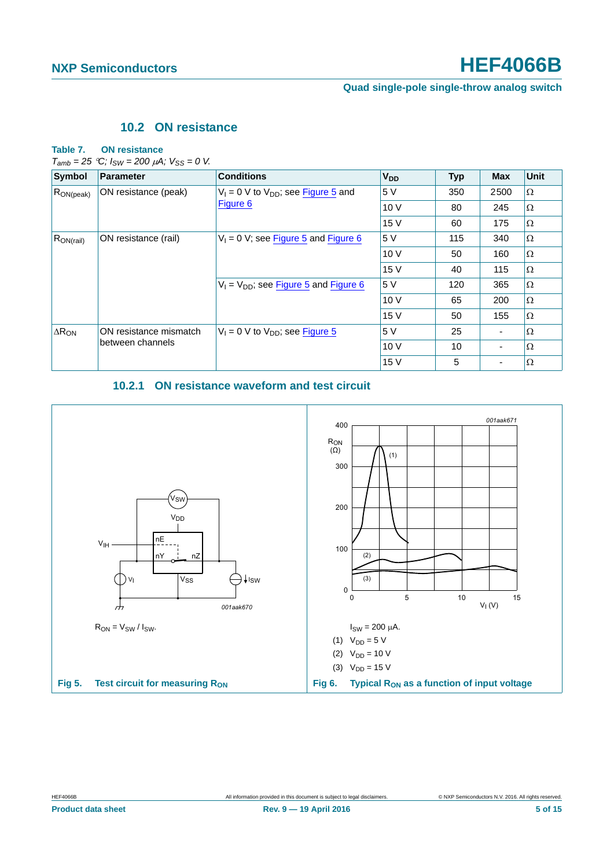**Quad single-pole single-throw analog switch**

### **10.2 ON resistance**

#### <span id="page-4-2"></span>**Table 7. ON resistance**

 $T_{amb} = 25 \text{ °C}$ ;  $I_{SW} = 200 \mu\text{A}$ ;  $V_{SS} = 0 \text{ V}$ .

| <b>Symbol</b>   | <b>Parameter</b>       | <b>Conditions</b>                          | <b>V<sub>DD</sub></b> | <b>Typ</b> | <b>Max</b> | Unit     |
|-----------------|------------------------|--------------------------------------------|-----------------------|------------|------------|----------|
| $ R_{ON(peak)}$ | ON resistance (peak)   | $V_1 = 0$ V to $V_{DD}$ ; see Figure 5 and | 5 V                   | 350        | 2500       | $\Omega$ |
|                 |                        | <b>Figure 6</b>                            | 10 V                  | 80         | 245        | $\Omega$ |
|                 |                        |                                            | 15 V                  | 60         | 175        | $\Omega$ |
| $R_{ON(rail)}$  | ON resistance (rail)   | $V_1 = 0$ V; see Figure 5 and Figure 6     | 5 V                   | 115        | 340        | $\Omega$ |
|                 |                        | $V_1 = V_{DD}$ ; see Figure 5 and Figure 6 | 10V                   | 50         | 160        | $\Omega$ |
|                 |                        |                                            | 15 V                  | 40         | 115        | $\Omega$ |
|                 |                        |                                            | 5 V                   | 120        | 365        | $\Omega$ |
|                 |                        |                                            | 10V                   | 65         | 200        | $\Omega$ |
|                 |                        |                                            | 15 V                  | 50         | 155        | $\Omega$ |
| $\Delta R_{ON}$ | ON resistance mismatch | $V_1 = 0$ V to $V_{DD}$ ; see Figure 5     | 5 V                   | 25         |            | $\Omega$ |
|                 | between channels       |                                            | 10V                   | 10         |            | $\Omega$ |
|                 |                        |                                            | 15 V                  | 5          |            | $\Omega$ |

### <span id="page-4-1"></span>**10.2.1 ON resistance waveform and test circuit**

<span id="page-4-3"></span><span id="page-4-0"></span>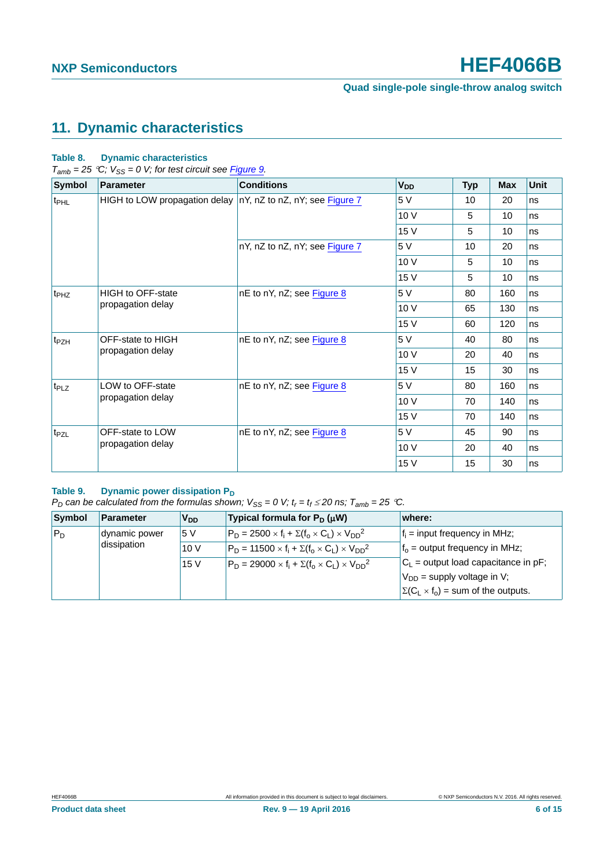# <span id="page-5-0"></span>**11. Dynamic characteristics**

### **Table 8. Dynamic characteristics**

 $T_{amb} = 25 \degree C$ ;  $V_{SS} = 0$  V; for test circuit see *Figure 9*.

| <b>Symbol</b>    | <b>Parameter</b>              | <b>Conditions</b>              | <b>V<sub>DD</sub></b> | <b>Typ</b> | Max                                       | <b>Unit</b> |
|------------------|-------------------------------|--------------------------------|-----------------------|------------|-------------------------------------------|-------------|
| t <sub>PHL</sub> | HIGH to LOW propagation delay | nY, nZ to nZ, nY; see Figure 7 | 5 V                   | 10         | 20                                        | ns          |
|                  |                               |                                | 10 V                  | 5          | 10                                        | ns          |
|                  |                               |                                | 15 V                  | 5          | 10                                        | ns          |
|                  |                               | nY, nZ to nZ, nY; see Figure 7 | 5 V                   | 10         | 20                                        | ns          |
|                  |                               |                                | 10 V                  | 5          | 10                                        | ns          |
|                  |                               |                                | 15 V                  | 5          | 10                                        | ns          |
| t <sub>PHZ</sub> | <b>HIGH to OFF-state</b>      | nE to nY, nZ; see Figure 8     | 5 V                   | 80         | 160                                       | ns          |
|                  | propagation delay             |                                | 10 V                  | 65         | 130                                       | ns          |
|                  |                               |                                | 15 V                  | 60         | 120                                       | ns          |
| t <sub>PZH</sub> | OFF-state to HIGH             | nE to nY, nZ; see Figure 8     | 5 V                   | 40         | 80                                        | ns          |
|                  | propagation delay             |                                | 10 V                  | 20         | 40                                        | ns          |
|                  |                               |                                | 15 V                  | 15         | 30<br>160<br>140<br>140<br>90<br>40<br>30 | ns          |
| t <sub>PLZ</sub> | LOW to OFF-state              | nE to nY, nZ; see Figure 8     | 5 V                   | 80         |                                           | ns          |
|                  | propagation delay             |                                | 10 V                  | 70         |                                           | ns          |
|                  |                               |                                | 15 V                  | 70         |                                           | ns          |
| t <sub>PZL</sub> | OFF-state to LOW              | nE to nY, nZ; see Figure 8     | 5 V                   | 45         |                                           | ns          |
|                  | propagation delay             |                                | 10 V                  | 20         |                                           | ns          |
|                  |                               |                                | 15 V                  | 15         |                                           | ns          |

### Table 9. Dynamic power dissipation P<sub>D</sub>

*P<sub>D</sub>* can be calculated from the formulas shown;  $V_{SS} = 0$  V;  $t_r = t_f \le 20$  ns;  $T_{amb} = 25$  °C.

| Symbol | Parameter     | V <sub>DD</sub> | Typical formula for $P_D(\mu W)$                                  | where:                                         |
|--------|---------------|-----------------|-------------------------------------------------------------------|------------------------------------------------|
| $P_D$  | dynamic power | 5 V             | $P_D = 2500 \times f_i + \Sigma(f_0 \times C_1) \times V_{DD}^2$  | $f_i$ = input frequency in MHz;                |
|        | dissipation   | 10V             | $P_D = 11500 \times f_i + \Sigma(f_0 \times C_1) \times V_{DD}^2$ | $fo$ = output frequency in MHz;                |
|        |               | 15V             | $P_D = 29000 \times f_i + \Sigma(f_0 \times C_1) \times V_{DD}^2$ | $C_L$ = output load capacitance in pF;         |
|        |               |                 |                                                                   | $V_{DD}$ = supply voltage in V;                |
|        |               |                 |                                                                   | $\Sigma(C_L \times f_0)$ = sum of the outputs. |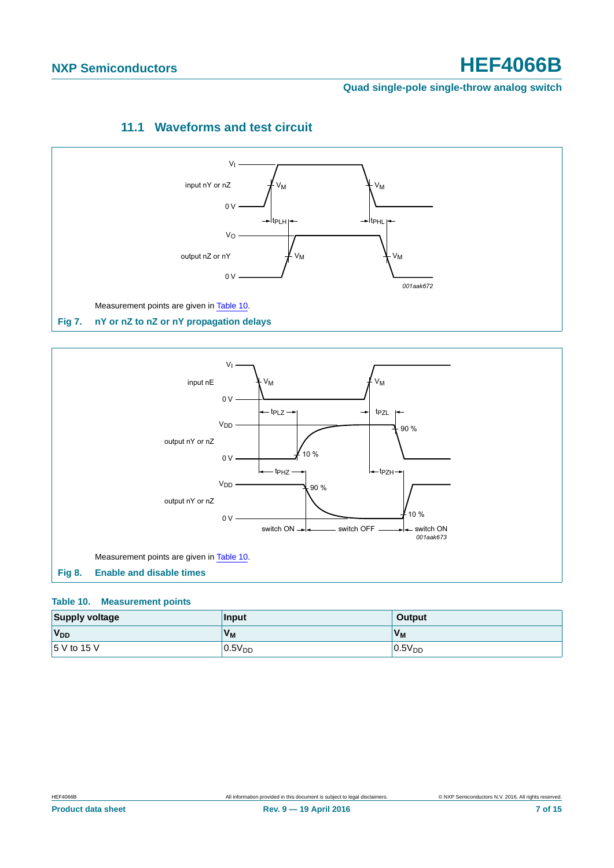### **Quad single-pole single-throw analog switch**

# **11.1 Waveforms and test circuit**

<span id="page-6-3"></span>

<span id="page-6-0"></span>

#### <span id="page-6-2"></span><span id="page-6-1"></span>**Table 10. Measurement points**

| <b>Supply voltage</b> | Input              | Output             |
|-----------------------|--------------------|--------------------|
| V <sub>DD</sub>       | $V_{M}$            | V <sub>M</sub>     |
| $15$ V to 15 V        | 0.5V <sub>DD</sub> | 0.5V <sub>DD</sub> |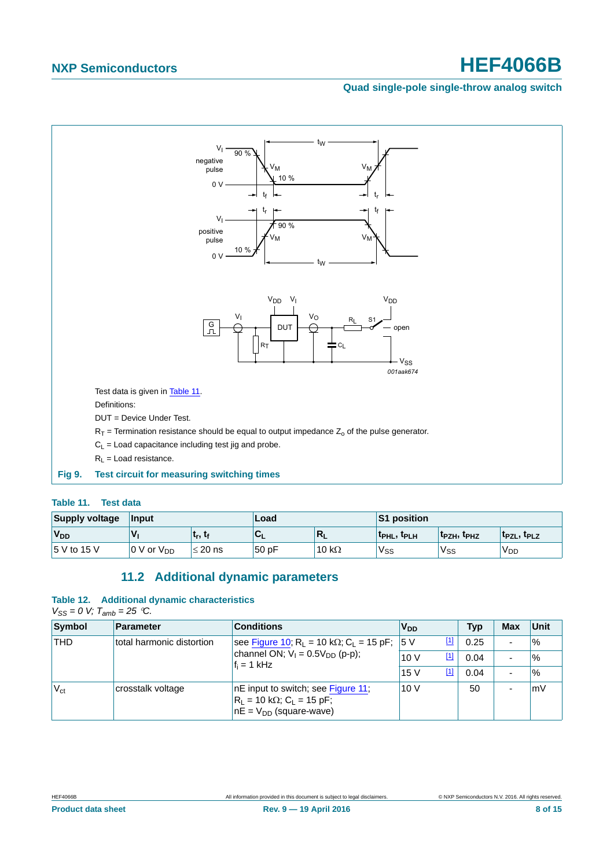### **Quad single-pole single-throw analog switch**



### <span id="page-7-1"></span><span id="page-7-0"></span>**Table 11. Test data**

| <b>Supply voltage</b> | Input           |                                 | Load  |               | <b>S1 position</b>                  |                              |                                     |
|-----------------------|-----------------|---------------------------------|-------|---------------|-------------------------------------|------------------------------|-------------------------------------|
| V <sub>DD</sub>       |                 | t <sub>r</sub> , t <sub>f</sub> | `UL   | $R_L$         | t <sub>PHL</sub> , t <sub>PLH</sub> | $ t_{\sf PZH}, t_{\sf PHZ} $ | t <sub>PZL</sub> , t <sub>PLZ</sub> |
| 5 V to 15 V           | 0 V or $V_{DD}$ | $\leq$ 20 ns                    | 50 pF | 10 k $\Omega$ | 'Vss                                | V <sub>SS</sub>              | <b>V<sub>DD</sub></b>               |

### **11.2 Additional dynamic parameters**

#### <span id="page-7-2"></span>**Table 12. Additional dynamic characteristics**

 $V_{SS} = 0$  *V;*  $T_{amb} = 25$  *°C.* 

| Symbol          | <b>Parameter</b>          | <b>Conditions</b>                                                                                           | <b>V<sub>DD</sub></b> | Typ  | <b>Max</b> | Unit          |
|-----------------|---------------------------|-------------------------------------------------------------------------------------------------------------|-----------------------|------|------------|---------------|
| <b>THD</b>      | total harmonic distortion | see Figure 10; R <sub>L</sub> = 10 kΩ; C <sub>L</sub> = 15 pF; 5 V                                          |                       | 0.25 |            | $\frac{1}{6}$ |
|                 |                           | channel ON; $V_1 = 0.5V_{DD}$ (p-p);<br>$f_i = 1$ kHz                                                       | [ <u>1]</u><br>10V    | 0.04 |            | $\frac{1}{6}$ |
|                 |                           |                                                                                                             | $\boxed{1}$<br>15V    | 0.04 |            | $\frac{1}{6}$ |
| $V_{\text{ct}}$ | crosstalk voltage         | nE input to switch; see Figure 11;<br>$R_L$ = 10 kΩ; C <sub>L</sub> = 15 pF;<br>$nE = V_{DD}$ (square-wave) | 10 $V$                | 50   |            | mV            |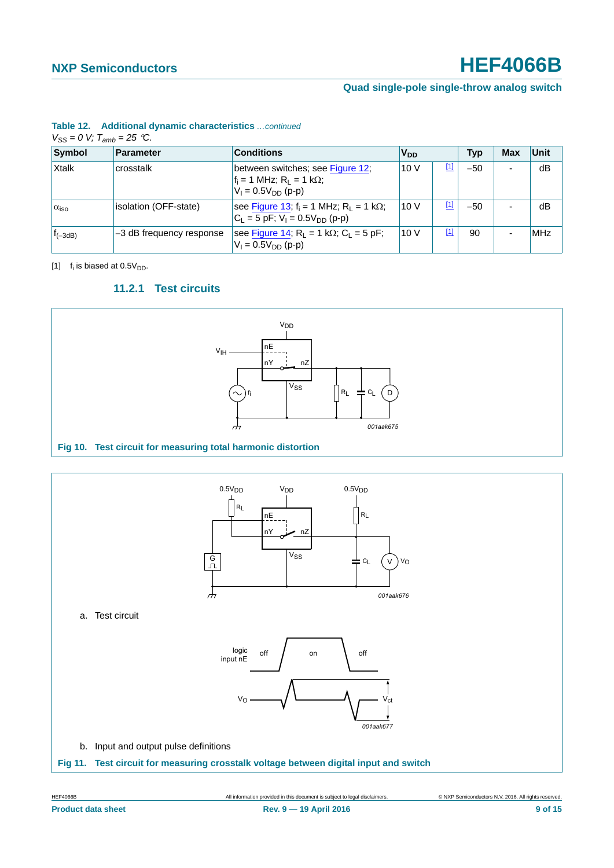### **Quad single-pole single-throw analog switch**

### **Table 12. Additional dynamic characteristics** *…continued*

|  | $V_{SS} = 0$ V; $T_{amb} = 25$ °C. |  |
|--|------------------------------------|--|
|  |                                    |  |

| Symbol             | <b>Parameter</b>         | <b>Conditions</b>                                                                                    | <b>V<sub>DD</sub></b> |     | Typ   | Max | Unit       |
|--------------------|--------------------------|------------------------------------------------------------------------------------------------------|-----------------------|-----|-------|-----|------------|
| Xtalk              | crosstalk                | between switches; see Figure 12;<br>$f_i = 1$ MHz; $R_L = 1$ k $\Omega$ ;<br>$V_1 = 0.5V_{DD}$ (p-p) | 10V                   | [1] | $-50$ | -   | dB         |
| $\alpha_{\rm iso}$ | isolation (OFF-state)    | see Figure 13; $f_i = 1$ MHz; $R_l = 1$ k $\Omega$ ;<br>$C_1 = 5$ pF; $V_1 = 0.5V_{DD}$ (p-p)        | 10V                   | [1] | $-50$ |     | dB         |
| $t_{(-3dB)}$       | -3 dB frequency response | see Figure 14; $R_L = 1$ k $\Omega$ ; $C_L = 5$ pF;<br>$V_1 = 0.5V_{DD}$ (p-p)                       | 10V                   | [1] | 90    |     | <b>MHz</b> |

<span id="page-8-3"></span><span id="page-8-1"></span>[1]  $f_i$  is biased at 0.5 $V_{DD}$ .

### **11.2.1 Test circuits**



<span id="page-8-0"></span>

<span id="page-8-2"></span>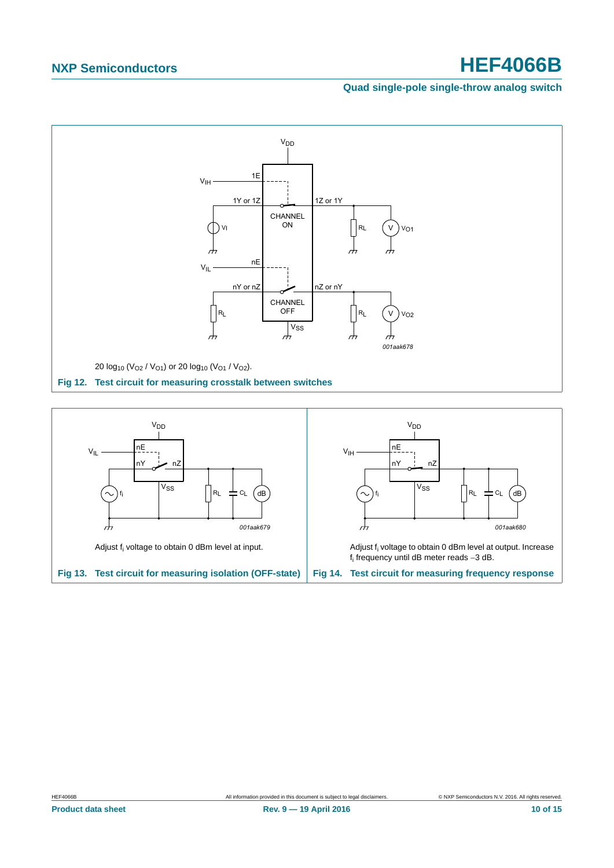### **Quad single-pole single-throw analog switch**



<span id="page-9-2"></span><span id="page-9-1"></span><span id="page-9-0"></span>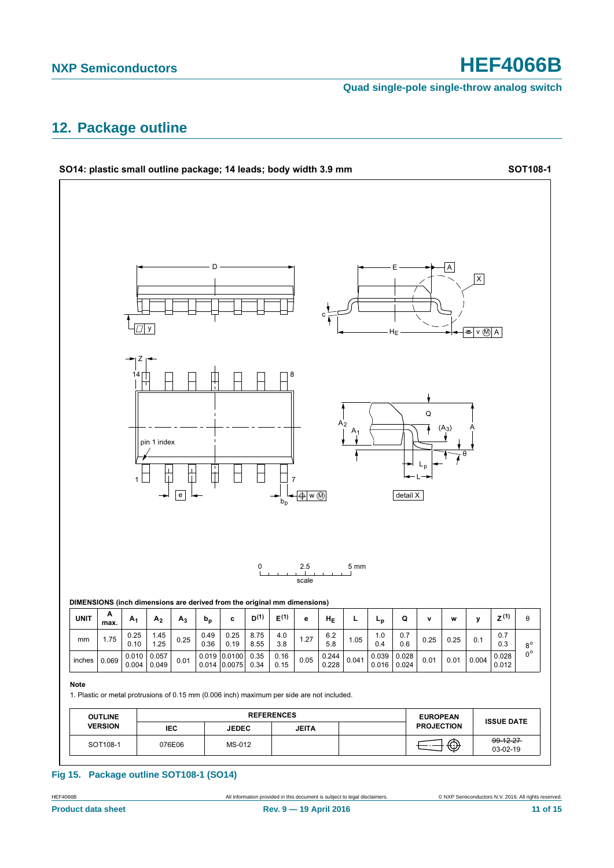**Quad single-pole single-throw analog switch**

# <span id="page-10-0"></span>**12. Package outline**



### **Fig 15. Package outline SOT108-1 (SO14)**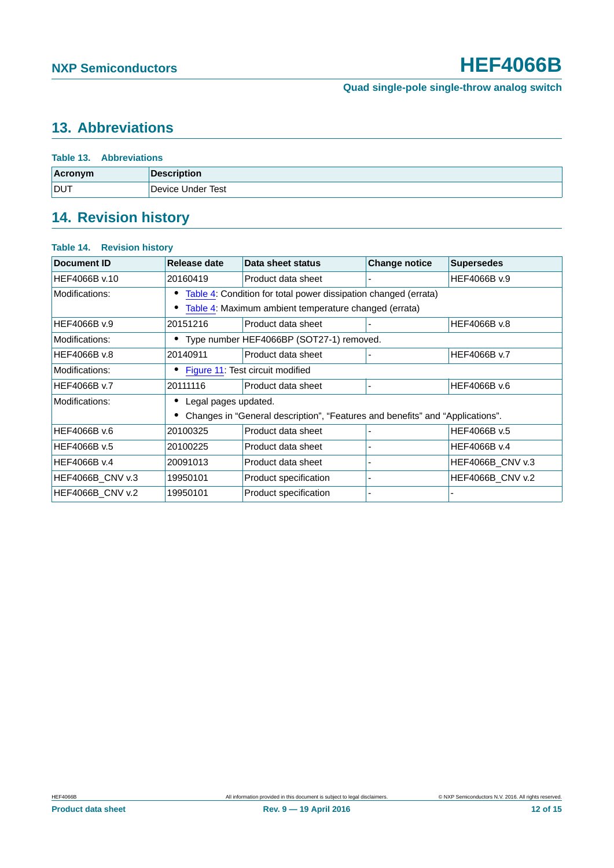# <span id="page-11-0"></span>**13. Abbreviations**

|                | Table 13. Abbreviations |  |  |
|----------------|-------------------------|--|--|
| <b>Acronym</b> | <b>Description</b>      |  |  |
| <b>DUT</b>     | Device Under Test       |  |  |

# <span id="page-11-1"></span>**14. Revision history**

### **Table 14. Revision history**

| Document ID             | Release date                                                    | Data sheet status                                                             | <b>Change notice</b> | <b>Supersedes</b>       |  |
|-------------------------|-----------------------------------------------------------------|-------------------------------------------------------------------------------|----------------------|-------------------------|--|
| HEF4066B v.10           | 20160419                                                        | Product data sheet                                                            |                      | HEF4066B v.9            |  |
| Modifications:          | Table 4: Condition for total power dissipation changed (errata) |                                                                               |                      |                         |  |
|                         | Table 4: Maximum ambient temperature changed (errata)           |                                                                               |                      |                         |  |
| HEF4066B v.9            | 20151216                                                        | Product data sheet                                                            |                      | HEF4066B v.8            |  |
| Modifications:          | • Type number HEF4066BP (SOT27-1) removed.                      |                                                                               |                      |                         |  |
| HEF4066B v.8            | 20140911                                                        | Product data sheet                                                            |                      | HEF4066B v.7            |  |
| Modifications:          | Figure 11: Test circuit modified                                |                                                                               |                      |                         |  |
| HEF4066B v.7            | 20111116                                                        | Product data sheet                                                            |                      | HEF4066B v.6            |  |
| Modifications:          | Legal pages updated.                                            |                                                                               |                      |                         |  |
|                         |                                                                 | Changes in "General description", "Features and benefits" and "Applications". |                      |                         |  |
| HEF4066B v.6            | 20100325                                                        | Product data sheet                                                            |                      | HEF4066B v.5            |  |
| HEF4066B v.5            | 20100225                                                        | Product data sheet                                                            |                      | HEF4066B v.4            |  |
| HEF4066B v.4            | 20091013                                                        | Product data sheet                                                            |                      | <b>HEF4066B CNV v.3</b> |  |
| <b>HEF4066B CNV v.3</b> | 19950101                                                        | Product specification                                                         |                      | HEF4066B_CNV v.2        |  |
| <b>HEF4066B CNV v.2</b> | 19950101                                                        | Product specification                                                         |                      |                         |  |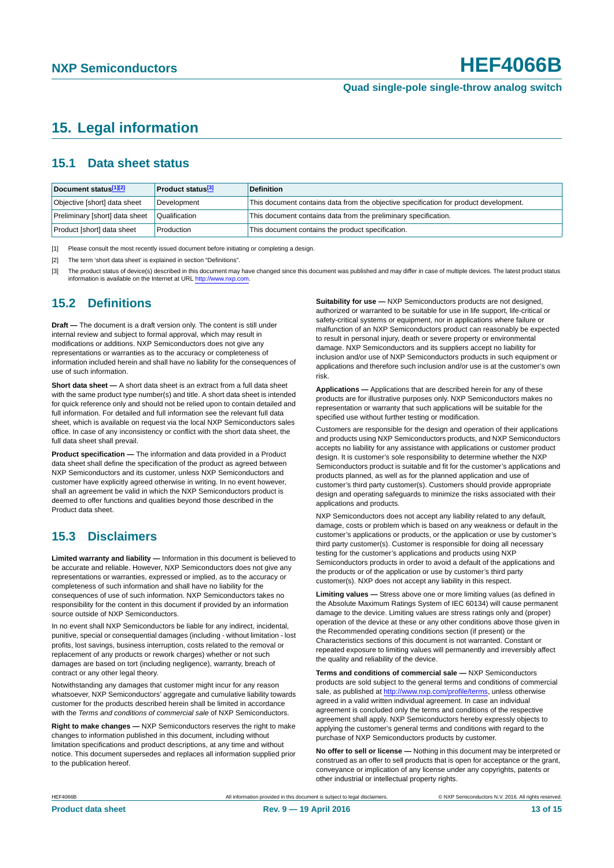# <span id="page-12-3"></span>**15. Legal information**

### <span id="page-12-4"></span>**15.1 Data sheet status**

| Document status[1][2]          | <b>Product status</b> <sup>[3]</sup> | <b>Definition</b>                                                                     |
|--------------------------------|--------------------------------------|---------------------------------------------------------------------------------------|
| Objective [short] data sheet   | Development                          | This document contains data from the objective specification for product development. |
| Preliminary [short] data sheet | Qualification                        | This document contains data from the preliminary specification.                       |
| Product [short] data sheet     | Production                           | This document contains the product specification.                                     |

<span id="page-12-0"></span>[1] Please consult the most recently issued document before initiating or completing a design.

<span id="page-12-1"></span>[2] The term 'short data sheet' is explained in section "Definitions".

<span id="page-12-2"></span>[3] The product status of device(s) described in this document may have changed since this document was published and may differ in case of multiple devices. The latest product status<br>information is available on the Intern

### <span id="page-12-5"></span>**15.2 Definitions**

**Draft —** The document is a draft version only. The content is still under internal review and subject to formal approval, which may result in modifications or additions. NXP Semiconductors does not give any representations or warranties as to the accuracy or completeness of information included herein and shall have no liability for the consequences of use of such information.

**Short data sheet —** A short data sheet is an extract from a full data sheet with the same product type number(s) and title. A short data sheet is intended for quick reference only and should not be relied upon to contain detailed and full information. For detailed and full information see the relevant full data sheet, which is available on request via the local NXP Semiconductors sales office. In case of any inconsistency or conflict with the short data sheet, the full data sheet shall prevail.

**Product specification —** The information and data provided in a Product data sheet shall define the specification of the product as agreed between NXP Semiconductors and its customer, unless NXP Semiconductors and customer have explicitly agreed otherwise in writing. In no event however, shall an agreement be valid in which the NXP Semiconductors product is deemed to offer functions and qualities beyond those described in the Product data sheet.

### <span id="page-12-6"></span>**15.3 Disclaimers**

**Limited warranty and liability —** Information in this document is believed to be accurate and reliable. However, NXP Semiconductors does not give any representations or warranties, expressed or implied, as to the accuracy or completeness of such information and shall have no liability for the consequences of use of such information. NXP Semiconductors takes no responsibility for the content in this document if provided by an information source outside of NXP Semiconductors.

In no event shall NXP Semiconductors be liable for any indirect, incidental, punitive, special or consequential damages (including - without limitation - lost profits, lost savings, business interruption, costs related to the removal or replacement of any products or rework charges) whether or not such damages are based on tort (including negligence), warranty, breach of contract or any other legal theory.

Notwithstanding any damages that customer might incur for any reason whatsoever, NXP Semiconductors' aggregate and cumulative liability towards customer for the products described herein shall be limited in accordance with the *Terms and conditions of commercial sale* of NXP Semiconductors.

**Right to make changes —** NXP Semiconductors reserves the right to make changes to information published in this document, including without limitation specifications and product descriptions, at any time and without notice. This document supersedes and replaces all information supplied prior to the publication hereof.

**Suitability for use —** NXP Semiconductors products are not designed, authorized or warranted to be suitable for use in life support, life-critical or safety-critical systems or equipment, nor in applications where failure or malfunction of an NXP Semiconductors product can reasonably be expected to result in personal injury, death or severe property or environmental damage. NXP Semiconductors and its suppliers accept no liability for inclusion and/or use of NXP Semiconductors products in such equipment or applications and therefore such inclusion and/or use is at the customer's own risk.

**Applications —** Applications that are described herein for any of these products are for illustrative purposes only. NXP Semiconductors makes no representation or warranty that such applications will be suitable for the specified use without further testing or modification.

Customers are responsible for the design and operation of their applications and products using NXP Semiconductors products, and NXP Semiconductors accepts no liability for any assistance with applications or customer product design. It is customer's sole responsibility to determine whether the NXP Semiconductors product is suitable and fit for the customer's applications and products planned, as well as for the planned application and use of customer's third party customer(s). Customers should provide appropriate design and operating safeguards to minimize the risks associated with their applications and products.

NXP Semiconductors does not accept any liability related to any default. damage, costs or problem which is based on any weakness or default in the customer's applications or products, or the application or use by customer's third party customer(s). Customer is responsible for doing all necessary testing for the customer's applications and products using NXP Semiconductors products in order to avoid a default of the applications and the products or of the application or use by customer's third party customer(s). NXP does not accept any liability in this respect.

**Limiting values —** Stress above one or more limiting values (as defined in the Absolute Maximum Ratings System of IEC 60134) will cause permanent damage to the device. Limiting values are stress ratings only and (proper) operation of the device at these or any other conditions above those given in the Recommended operating conditions section (if present) or the Characteristics sections of this document is not warranted. Constant or repeated exposure to limiting values will permanently and irreversibly affect the quality and reliability of the device.

**Terms and conditions of commercial sale —** NXP Semiconductors products are sold subject to the general terms and conditions of commercial sale, as published at<http://www.nxp.com/profile/terms>, unless otherwise agreed in a valid written individual agreement. In case an individual agreement is concluded only the terms and conditions of the respective agreement shall apply. NXP Semiconductors hereby expressly objects to applying the customer's general terms and conditions with regard to the purchase of NXP Semiconductors products by customer.

**No offer to sell or license —** Nothing in this document may be interpreted or construed as an offer to sell products that is open for acceptance or the grant, conveyance or implication of any license under any copyrights, patents or other industrial or intellectual property rights.

HEF4066B All information provided in this document is subject to legal disclaimers. © NXP Semiconductors N.V. 2016. All rights reserved.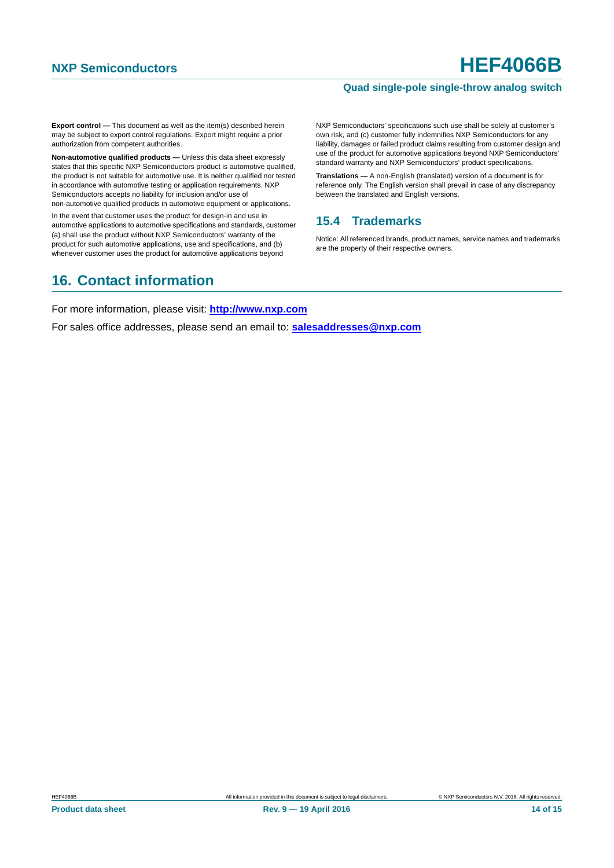### **Quad single-pole single-throw analog switch**

**Export control —** This document as well as the item(s) described herein may be subject to export control regulations. Export might require a prior authorization from competent authorities.

**Non-automotive qualified products —** Unless this data sheet expressly states that this specific NXP Semiconductors product is automotive qualified, the product is not suitable for automotive use. It is neither qualified nor tested in accordance with automotive testing or application requirements. NXP Semiconductors accepts no liability for inclusion and/or use of non-automotive qualified products in automotive equipment or applications.

In the event that customer uses the product for design-in and use in automotive applications to automotive specifications and standards, customer (a) shall use the product without NXP Semiconductors' warranty of the product for such automotive applications, use and specifications, and (b) whenever customer uses the product for automotive applications beyond

NXP Semiconductors' specifications such use shall be solely at customer's own risk, and (c) customer fully indemnifies NXP Semiconductors for any liability, damages or failed product claims resulting from customer design and use of the product for automotive applications beyond NXP Semiconductors' standard warranty and NXP Semiconductors' product specifications.

**Translations —** A non-English (translated) version of a document is for reference only. The English version shall prevail in case of any discrepancy between the translated and English versions.

### <span id="page-13-0"></span>**15.4 Trademarks**

Notice: All referenced brands, product names, service names and trademarks are the property of their respective owners.

## <span id="page-13-1"></span>**16. Contact information**

For more information, please visit: **http://www.nxp.com**

For sales office addresses, please send an email to: **salesaddresses@nxp.com**

**Product data sheet** 14 of 15